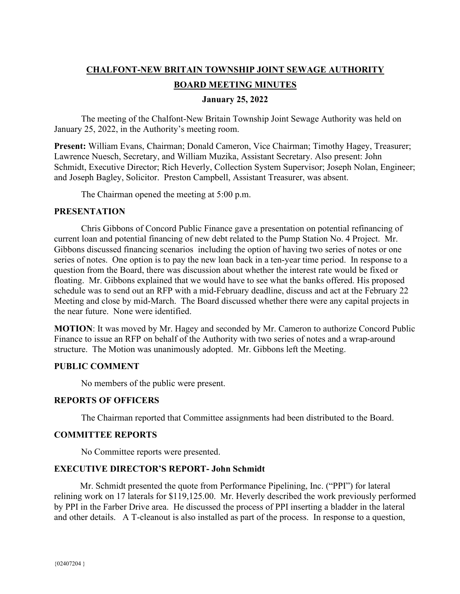# **CHALFONT-NEW BRITAIN TOWNSHIP JOINT SEWAGE AUTHORITY BOARD MEETING MINUTES**

**January 25, 2022** 

The meeting of the Chalfont-New Britain Township Joint Sewage Authority was held on January 25, 2022, in the Authority's meeting room.

**Present:** William Evans, Chairman; Donald Cameron, Vice Chairman; Timothy Hagey, Treasurer; Lawrence Nuesch, Secretary, and William Muzika, Assistant Secretary. Also present: John Schmidt, Executive Director; Rich Heverly, Collection System Supervisor; Joseph Nolan, Engineer; and Joseph Bagley, Solicitor. Preston Campbell, Assistant Treasurer, was absent.

The Chairman opened the meeting at 5:00 p.m.

### **PRESENTATION**

Chris Gibbons of Concord Public Finance gave a presentation on potential refinancing of current loan and potential financing of new debt related to the Pump Station No. 4 Project. Mr. Gibbons discussed financing scenarios including the option of having two series of notes or one series of notes. One option is to pay the new loan back in a ten-year time period. In response to a question from the Board, there was discussion about whether the interest rate would be fixed or floating. Mr. Gibbons explained that we would have to see what the banks offered. His proposed schedule was to send out an RFP with a mid-February deadline, discuss and act at the February 22 Meeting and close by mid-March. The Board discussed whether there were any capital projects in the near future. None were identified.

**MOTION**: It was moved by Mr. Hagey and seconded by Mr. Cameron to authorize Concord Public Finance to issue an RFP on behalf of the Authority with two series of notes and a wrap-around structure. The Motion was unanimously adopted. Mr. Gibbons left the Meeting.

# **PUBLIC COMMENT**

No members of the public were present.

# **REPORTS OF OFFICERS**

The Chairman reported that Committee assignments had been distributed to the Board.

#### **COMMITTEE REPORTS**

No Committee reports were presented.

# **EXECUTIVE DIRECTOR'S REPORT- John Schmidt**

 Mr. Schmidt presented the quote from Performance Pipelining, Inc. ("PPI") for lateral relining work on 17 laterals for \$119,125.00. Mr. Heverly described the work previously performed by PPI in the Farber Drive area. He discussed the process of PPI inserting a bladder in the lateral and other details. A T-cleanout is also installed as part of the process. In response to a question,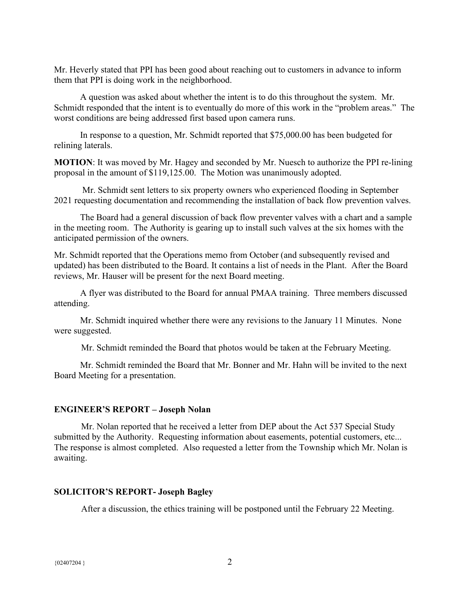Mr. Heverly stated that PPI has been good about reaching out to customers in advance to inform them that PPI is doing work in the neighborhood.

 A question was asked about whether the intent is to do this throughout the system. Mr. Schmidt responded that the intent is to eventually do more of this work in the "problem areas." The worst conditions are being addressed first based upon camera runs.

 In response to a question, Mr. Schmidt reported that \$75,000.00 has been budgeted for relining laterals.

**MOTION**: It was moved by Mr. Hagey and seconded by Mr. Nuesch to authorize the PPI re-lining proposal in the amount of \$119,125.00. The Motion was unanimously adopted.

 Mr. Schmidt sent letters to six property owners who experienced flooding in September 2021 requesting documentation and recommending the installation of back flow prevention valves.

 The Board had a general discussion of back flow preventer valves with a chart and a sample in the meeting room. The Authority is gearing up to install such valves at the six homes with the anticipated permission of the owners.

Mr. Schmidt reported that the Operations memo from October (and subsequently revised and updated) has been distributed to the Board. It contains a list of needs in the Plant. After the Board reviews, Mr. Hauser will be present for the next Board meeting.

 A flyer was distributed to the Board for annual PMAA training. Three members discussed attending.

 Mr. Schmidt inquired whether there were any revisions to the January 11 Minutes. None were suggested.

Mr. Schmidt reminded the Board that photos would be taken at the February Meeting.

 Mr. Schmidt reminded the Board that Mr. Bonner and Mr. Hahn will be invited to the next Board Meeting for a presentation.

#### **ENGINEER'S REPORT – Joseph Nolan**

Mr. Nolan reported that he received a letter from DEP about the Act 537 Special Study submitted by the Authority. Requesting information about easements, potential customers, etc... The response is almost completed. Also requested a letter from the Township which Mr. Nolan is awaiting.

#### **SOLICITOR'S REPORT- Joseph Bagley**

After a discussion, the ethics training will be postponed until the February 22 Meeting.